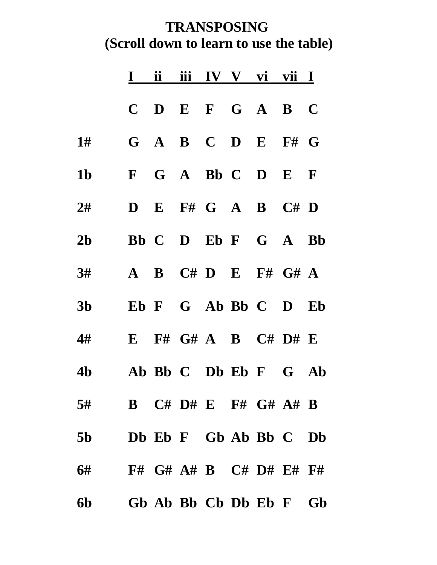## **TRANSPOSING (Scroll down to learn to use the table)**

|                            | $\mathbf I$          | ii | iii IV V vi vii I        |  |  |
|----------------------------|----------------------|----|--------------------------|--|--|
|                            | $\mathbf C$          |    | $D$ E F G A B C          |  |  |
| $1\#$                      |                      |    | $G$ A B C D E F# G       |  |  |
| 1 <sub>b</sub>             |                      |    | F G A Bb C D E F         |  |  |
| 2#                         |                      |    | $D$ E F# G A B C# D      |  |  |
| 2 <sub>b</sub>             |                      |    | Bb C D Eb F G A Bb       |  |  |
| 3#                         | $\mathbf{A}$         |    | $B$ $C# D$ $E$ $F# G# A$ |  |  |
| 3 <sub>b</sub>             |                      |    | Eb F G Ab Bb C D Eb      |  |  |
| 4#                         | $\bf{E}$             |    | $F#$ G# A B C# D# E      |  |  |
| 4b                         | Ab Bb C Db Eb F G Ab |    |                          |  |  |
| 5# B C# D# E F# G# $A$ # B |                      |    |                          |  |  |
| 5b Db Eb F Gb Ab Bb C Db   |                      |    |                          |  |  |
| 6# F# G# A# B C# D# E# F#  |                      |    |                          |  |  |
| 6b Gb Ab Bb Cb Db Eb F Gb  |                      |    |                          |  |  |